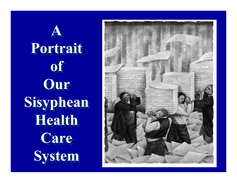**AA Portrait Portrait of of Our Our Sisyphean Sisyphean Health Health Care Care System System**

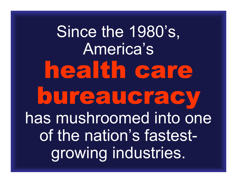Since the 1980's, America's health care bureaucracy has mushroomed into one of the nation's fastestgrowing industries.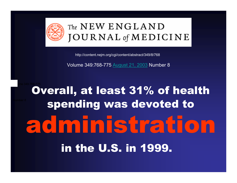

### The NEW ENGLAND **JOURNAL** of **MEDICINE**

http://content.nejm.org/cgi/content/abstract/349/8/768

Volume 349:768-775 [August 21, 2003](http://content.nejm.org/content/vol349/issue8/index.shtml) Number 8

Overall, at least 31% of health spending was devoted to administration in the U.S. in 1999. Volume 349:768-775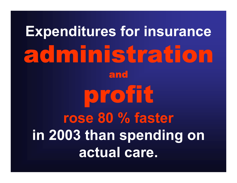# **Expenditures for insurance** administration andprofit **rose 80 % faster in 2003 than spending on actual care.**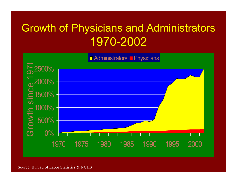## **Growth of Physicians and Administrators** 1970-2002



Source: Bureau of Labor Statistics & NCHS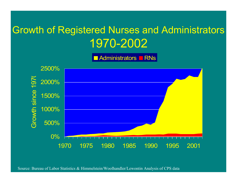### Growth of Registered Nurses and Administrators 1970-2002

Administrators ⊑ RNs



Source: Bureau of Labor Statistics & Himmelstein/Woolhandler/Lewontin Analysis of CPS data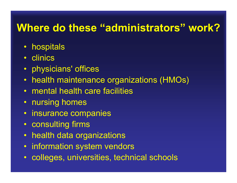### **Where do these "administrators" work?**

- hospitals
- clinics
- physicians' offices
- health maintenance organizations (HMOs)
- mental health care facilities
- nursing homes
- insurance companies
- consulting firms
- health data organizations
- information system vendors
- colleges, universities, technical schools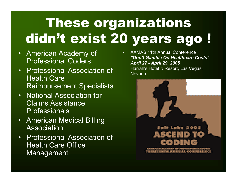## These organizations didn't exist 20 years ago !

- American Academy of Professional Coders
- Professional Association of Health Care Reimbursement Specialists
- National Association for Claims Assistance Professionals
- American Medical Billing Association
- Professional Association of Health Care Office **Management**

• AAMAS 11th Annual Conference*"Don't Gamble On Healthcare Costs" April 27 - April 29, 2005* Harrah's Hotel & Resort, Las Vegas, Nevada

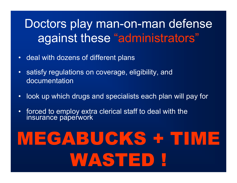## Doctors play man-on-man defense against these "administrators"

- deal with dozens of different plans
- satisfy regulations on coverage, eligibility, and documentation
- look up which drugs and specialists each plan will pay for
- forced to employ extra clerical staff to deal with the<br>insurance paperwork

# MEGABUCKS + TIME WASTED !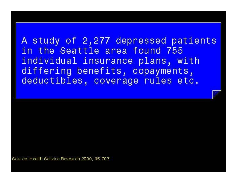A study of 2,277 depressed patients in the Seattle area found 755 individual insurance plans, with differing benefits, copayments, deductibles, coverage rules etc.

Source: Health Service Research 2000; 35:707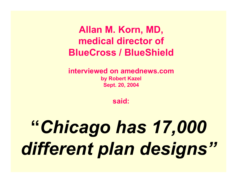**Allan M. Korn, MD, medical director of BlueCross / BlueShield**

**interviewed on amednews.com by Robert Kazel Sept. 20, 2004** 

**said:**

# **"***Chicago has 17,000 different plan designs"*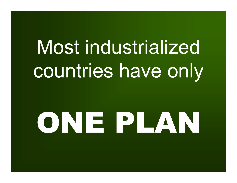# Most industrialized countries have only

# ONE PLAN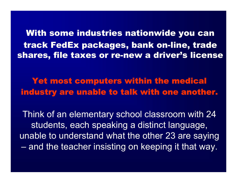With some industries nationwide you can track FedEx packages, bank on-line, trade shares, file taxes or re-new a driver's license

Yet most computers within the medical industry are unable to talk with one another.

Think of an elementary school classroom with 24 students, each speaking a distinct language, unable to understand what the other 23 are saying  $-$  and the teacher insisting on keeping it that way.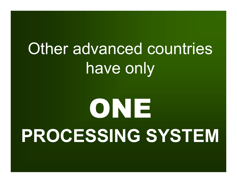## Other advanced countries have only

# ONE **PROCESSING SYSTEM**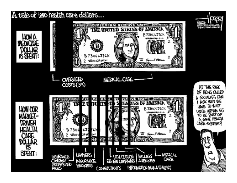A tale of two health care dollars...

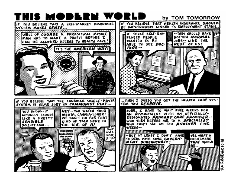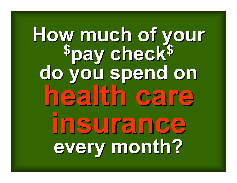# **How much of your \$pay check\$**  How much of your<br><sup>\$</sup>pay check<sup>\$</sup><br>do you spend on **health care health care health care insurance insurance insurance every month? every month? every month?**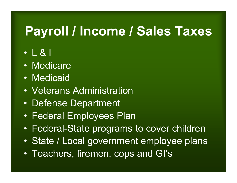## **Payroll / Income / Sales Taxes**

- L & I
- •Medicare
- •Medicaid
- •Veterans Administration
- $\bullet$ • Defense Department
- $\bullet$ • Federal Employees Plan
- •Federal-State programs to cover children
- $\bullet$ • State / Local government employee plans
- $\bullet$ Teachers, firemen, cops and GI's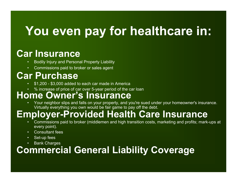## **You even pay for healthcare in:**

### **Car Insurance**

- •Bodily Injury and Personal Property Liability
- Commissions paid to broker or sales agent

### **Car Purchase**

- •\$1,200 - \$3,000 added to each car made in America
- •% increase of price of car over 5-year period of the car loan

#### **Home Owner's Insurance**

• Your neighbor slips and falls on your property, and you're sued under your homeowner's insurance. Virtually everything you own would be fair game to pay off the debt.

### **Employer-Provided Health Care Insurance**

- • Commissions paid to broker (middlemen and high transition costs, marketing and profits; mark-ups at every point).
- •Consultant fees
- •Set-up fees
- •Bank Charges

### **Commercial General Liability Coverage**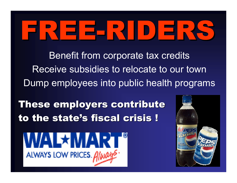# FREE-RIDERS

Benefit from corporate tax credits Receive subsidies to relocate to our townDump employees into public health programs

These employers contribute to the state's fiscal crisis !



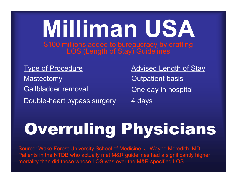### **Milliman USA** \$100 millions added to bureaucracy by drafting LOS (Length of Stay) Guidelines

#### Type of Procedure

**Mastectomy** Gallbladder removal Double-heart bypass surgery Advised Length of Stay

Outpatient basis One day in hospital 4 days

## Overruling Physicians

Source: Wake Forest University School of Medicine, J. Wayne Meredith, MD Patients in the NTDB who actually met M&R guidelines had a significantly higher mortality than did those whose LOS was over the M&R specified LOS.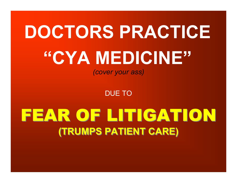## **DOCTORS PRACTICE "CYA MEDICINE"** *(cover your ass)*

DUE TO

## FEAR OF LITIGATION **(TRUMPS PATIENT CARE) (TRUMPS PATIENT CARE)**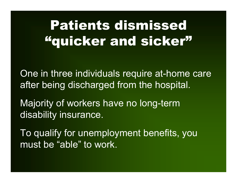## Patients dismissed "quicker and sicker"

One in three individuals require at-home care after being discharged from the hospital.

Majority of workers have no long-term disability insurance.

To qualify for unemployment benefits, you must be "able" to work.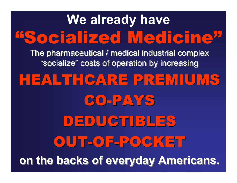## **We already have** "Socialized Medicine"

The pharmaceutical / medical industrial complex The pharmaceutical / medical industrial complex "socialize" costs of operation by increasing "socialize" costs of operation by increasing

## HEALTHCARE PREMIUMS

CO-PAYS

## DEDUCTIBLES OUT-OF-POCKET **on the backs of everyday Americans. on the backs of everyday Americans.**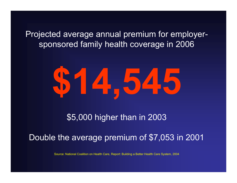Projected average annual premium for employersponsored family health coverage in 2006



\$5,000 higher than in 2003

Double the average premium of \$7,053 in 2001

Source: National Coalition on Health Care, Report: Building a Better H e alth Care Syste m, 2004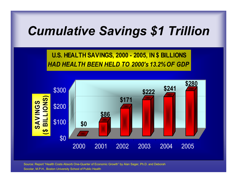## *Cumulative Savings \$1 Trillion*

**U.S. HEALTH SAVINGS, 2000 - 2005, IN \$ BILLIONS** *HAD HEALTH BEEN HELD TO 2000's 13.2% OF GDP*



Source: Report "Health Costs Absorb One-Quarter of Economic Growth" by Alan Sager, Ph.D. and Deborah

Socolar, M.P.H., Boston University School of Public Health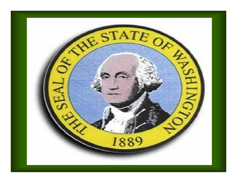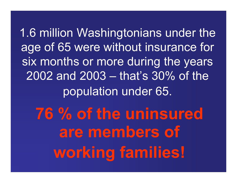1.6 million Washingtonians under the age of 65 were without insurance for six months or more during the years 2002 and 2003 – that's 30% of the population under 65.

**76 % of the uninsured are members of working families!**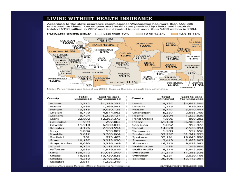#### LIVING WITHOUT HEALTH INSURANCE

According to the state insurance commissioner. Washington has more than 550,000 uninsured residents. Uncompensated health care provided by clinics and hospitals totaled \$318 million in 2002 and is estimated to cost more than \$400 million in 2004.



Note: Percentages are based on 2003 Census Bureau population estimates.

| County       | Total<br>uninsured | Cost to care<br>for uninsured | County       | Total<br>uninsured | Cost to care<br>for uninsured |
|--------------|--------------------|-------------------------------|--------------|--------------------|-------------------------------|
| Adams        | 2,312              | \$1,289,253                   | Lewis        | 8,137              | \$4,692,304                   |
| Asotin       | 2,586              | 1,269,343                     | Lincoln      | 1,215              | 629,031                       |
| Benton       | 13,815             | 9,050,125                     | Mason        | 5,747              | 3,040,447                     |
| Chelan       | 8,779              | 4,574,063                     | Okanogan     | 5,337              | 2,685,709                     |
| Clallam      | 9.724              | 5,228,127                     | Pacific      | 2,504              | 1,322,829                     |
| Clark        | 22,892             | 12,263,373                    | Pend Oreille | 1,596              | 899,282                       |
| Columbia     | 599                | 297,883                       | Pierce       | 61,138             | 36,986,077                    |
| Cowlitz      | 11,518             | 6,169,033                     | San Juan     | 1,852              | 992,972                       |
| Douglas      | 4,126              | 2,168,594                     | Skagit       | 14,020             | 7,526,894                     |
| Ferry        | 1,084              | 533,007                       | Skamania     | 1,283              | 552,656                       |
| Franklin     | 5,612              | 3,703,664                     | Snohomish    | 53,297             | 31,342,935                    |
| Garfield     | 261                | 923,483                       | Spokane      | 37,191             | 19,645,890                    |
| Grant        | 10,197             | 5,323,936                     | Stevens      | 5,413              | 2,683,907                     |
| Grays Harbor | 8,090              | 5,326,149                     | Thurston     | 16,370             | 9,038,085                     |
| Island       | 9,724              | 5,183,857                     | Wahkiakum    | 483                | 249,604                       |
| Jefferson    | 2,935              | 1,979,819                     | Walla Walla  | 6.214              | 3,442,530                     |
| King         | 138,472            | 87,081,309                    | Whatcom      | 21,370             | 11,255,326                    |
| Kitsap       | 18,855             | 10,729,825                    | Whitman      | 4,331              | 2,029,106                     |
| Kittitas     | 4,210              | 2,106,003                     | Yakima       | 25,195             | 13,143,004                    |
| Klickitat    | 2,811              | 1,226,218                     |              |                    |                               |

Source: U.S. Census Bureau, office of Insurance Commissioner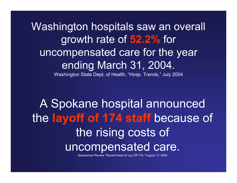Washington hospitals saw an overall growth rate of **52.2%** for uncompensated care for the year ending March 31, 2004.

Washington State Dept. of Health, "Hosp. Trends," July 2004

A Spokane hospital announced the **layoff of 174 staff** because of the rising costs of uncompensated care.

Spokesman-R evie w "Sacred Heart to L ay Off 174," August 17, 200 4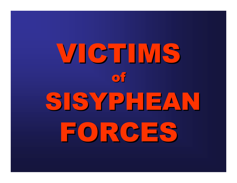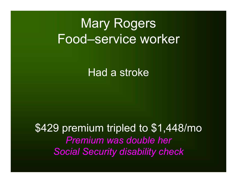## Mary Rogers Food–service worker

### Had a stroke

### \$429 premium tripled to \$1,448/mo *Premium was double her Social Security disability check*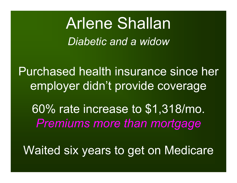## Arlene Shallan *Diabetic and a widow*

Purchased health insurance since her employer didn't provide coverage

60% rate increase to \$1,318/mo. *Premiums more than mortgage*

Waited six years to get on Medicare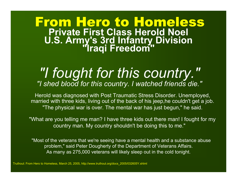### From Hero to Homeless **Private First Class Herold Noel U.S. Army's 3rd Infantry Division "Iraqi Freedom"**

### *"I fought for this country." "I shed blood for this country. I watched friends die."*

Herold was diagnosed with Post Traumatic Stress Disorder. Unemployed, married with three kids, living out of the back of his jeep,he couldn't get a job. "The physical war is over. The mental war has just begun," he said.

"What are you telling me man? I have three kids out there man! I fought for my country man. My country shouldn't be doing this to me."

"Most of the veterans that we're seeing have a mental health and a substance abuse problem," said Peter Dougherty of the Department of Veterans Affairs. As many as 275,000 veterans will likely sleep out in the cold tonight.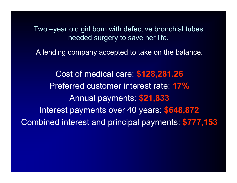Two –year old girl born with defective bronchial tubes needed surgery to save her life.

A lending company accepted to take on the balance.

Cost of medical care: **\$128,281.26** Preferred customer interest rate: **17%**Annual payments: **\$21,833** Interest payments over 40 years: **\$648,872** Combined interest and principal payments: **\$777,153**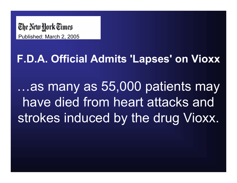

### **F.D.A. Official Admits 'Lapses' on Vioxx**

…as many as 55,000 patients may have died from heart attacks and strokes induced by the drug Vioxx.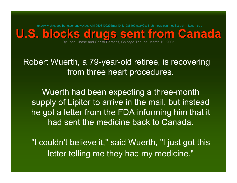<http://www.chicagotribune.com/news/local/chi-0503100295mar10,1,1986490.story?coll=chi-newslocal-hed&ctrack=1&cset=true>

**U.S. blocks drugs sent from Canada U.S. blocks drugs sent from Canada**

By John Chase and Christi Parsons, Chicago Tribune, March 10, 2005

Robert Wuerth, a 79-year-old retiree, is recovering from three heart procedures.

Wuerth had been expecting a three-month supply of Lipitor to arrive in the mail, but instead he got a letter from the FDA informing him that it had sent the medicine back to Canada.

"I couldn't believe it," said Wuerth, "I just got this letter telling me they had my medicine."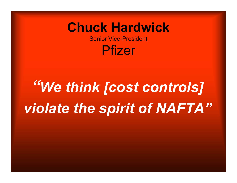#### **Chuck Hardwick**

Senior Vice-President

Pfizer

# *"We think [cost controls] violate the spirit of NAFTA"*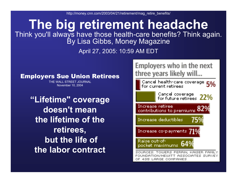http://money.cnn.com/2003/04/21/retirement/mag\_retire\_benefits/

#### **The big retirement headache** Think you'll always have those health-care benefits? Think again. By Lisa Gibbs, Money Magazine

April 27, 2005: 10:59 AM EDT

#### Employers Sue Union Retirees

THE WALL STREET JOURNAL November 10, 2004

**"Lifetime" coverage doesn't mean the lifetime of the retirees, but the life of the labor contract**

Employers who in the next three years likely will...

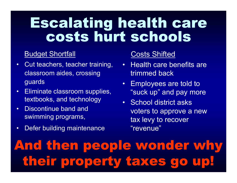## Escalating health care costs hurt schools

#### Budget Shortfall

- •Cut teachers, teacher training, classroom aides, crossing guards
- •Eliminate classroom supplies, textbooks, and technology
- •Discontinue band and swimming programs,
- •Defer building maintenance

#### Costs Shifted

- Health care benefits are trimmed back
- Employees are told to "suck up" and pay more
- School district asks voters to approve a new tax levy to recover "revenue"

## And then people wonder why their property taxes go up!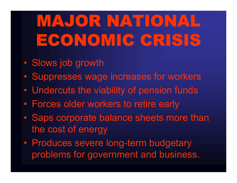# MAJOR NATIONAL ECONOMIC CRISIS

- $\bigcirc$ Slows job growth
- $\bigcirc$ • Suppresses wage increases for workers
- $\bigcirc$ Undercuts the viability of pension funds
- $\bigcirc$ Forces older workers to retire early
- $\bigcirc$  Saps corporate balance sheets more than the cost of energy
- $\bigcirc$ • Produces severe long-term budgetary problems for government and business.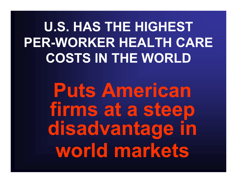**U.S. HAS THE HIGHEST PER-WORKER HEALTH CARE COSTS IN THE WORLD**

> **Puts American firms at a steep disadvantage in world markets**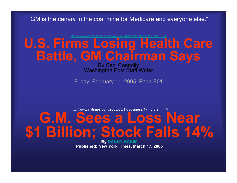"GM is the canary in the coal mine for Medic are and everyone else."

#### [http://www.washingtonpost.com/wp-dyn/articles/A15828-2005Feb1](http://www.washingtonpost.com/wp-dyn/articles/A15828-2005Feb10.html) 0.html **U.S. Firms Losing Health Care Battle, GM Chairman Says**

#### By Ceci Connolly<br>Washington Post Staff Writer

Friday, February 11, 2005; Page E01

http://www.nytimes.com/2005/03/17/business/17motors.html?

## **G.M. Sees a Loss Near \$1 Billion; Stock Falls 14%**

**By [DANNY HAKIM](http://query.nytimes.com/search/query?ppds=bylL&v1=DANNY%20HAKIM&fdq=19960101&td=sysdate&sort=newest&ac=DANNY%20HAKIM&inline=nyt-per) Published: New York Times, March 17, 2005**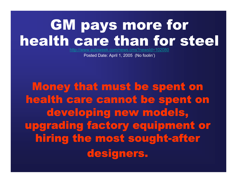## GM pays more for health care than for steel

http://ww [w.autoweek.com/news.cms?newsId=102080](http://www.autoweek.com/news.cms?newsId=102080)

Posted Date: April 1, 2005 (No foolin')

Money that must be spent on health care cannot be spent on developing new models, upgrading factory equipment or hiring the most sought-after designers.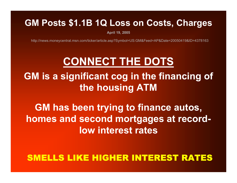#### **GM Posts \$1.1B 1Q Loss on Costs, Charges**

**April 19, 2 0 0 5**

http://news.moneycentral.msn.com/ticker/article.asp?Symbol=US:GM&Feed=AP&Date=20050419&ID=4378163

#### **CONNECT THE DOTS**

**GM is a significant cog in the financing of the housing ATM**

#### **GM has been trying to finance autos, homes and second mortgages at recordlow interest rates**

#### SMELLS LIKE HIGHER INTEREST RATES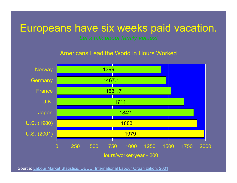#### Europeans have six weeks paid vacation.

Americans Lead the World in Hours Worked



Source: Labour Market Statistics, OEC [D; International Labour Organization, 2001](http://www.sourceoecd.org/content/html/index.htm)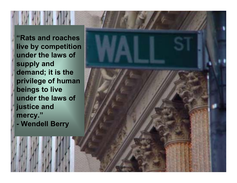**"Rats and roaches live by competition under the laws of supply and demand; it is the privilege of human beings to live under the laws of justice and mercy."**

**- Wendell Berry**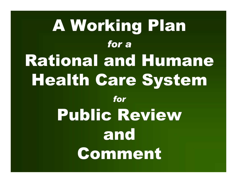# A Working Plan *for a*Rational and Humane Health Care System *for*Public Review and Comment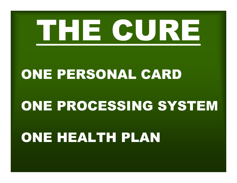

### ONE PERSONAL CARD

### ONE PROCESSING SYSTEM

## ONE HEALTH PLAN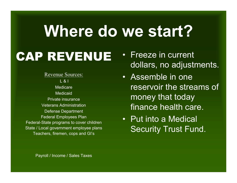## **Where do we start?**

## CAP REVENUE

Revenue Sources: L & IMedicareMedicaidPrivate insuranceVeterans AdministrationDefense Department Federal Employees Plan Federal-State programs to cover children State / Local government employee plans Teachers, firemen, cops and GI's

- Freeze in current dollars, no adjustments.
- Assemble in one reservoir the streams of money that today finance health care.
- Put into a Medical Security Trust Fund.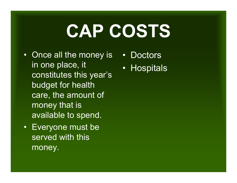# **CAP COSTS**

- Once all the money is in one place, it constitutes this year's budget for health care, the amount of money that is available to spend.
- Everyone must be served with this money.
- Doctors
- Hospitals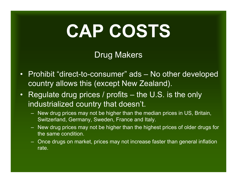# **CAP COSTS**

#### Drug Makers

- Prohibit "direct-to-consumer" ads No other developed country allows this (except New Zealand).
- Regulate drug prices / profits the U.S. is the only industrialized country that doesn't.
	- New drug prices may not be higher than the median prices in US, Britain, Switzerland, Germany, Sweden, France and Italy.
	- New drug prices may not be higher than the highest prices of older drugs for the same condition.
	- Once drugs on market, prices may not increase faster than general inflation rate.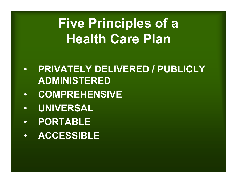## **Five Principles of a Health Care Plan**

- • **PRIVATELY DELIVERED / PUBLICLY ADMINISTERED**
- •**COMPREHENSIVE**
- •**UNIVERSAL**
- •**PORTABLE**
- •**ACCESSIBLE**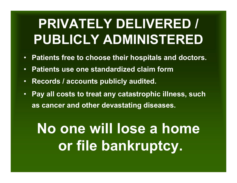- **Patients free to choose their hospitals and doctors.**
- •**Patients use one standardized claim form**
- •**Records / accounts publicly audited.**
- $\bullet$  **Pay all costs to treat any catastrophic illness, such as cancer and other devastating diseases.**

## **No one will lose a home or file bankruptcy.**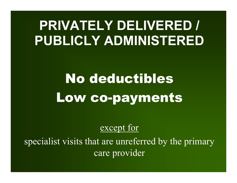## No deductibles Low co-payments

#### except for

specialist visits that are unreferred by the primary care provider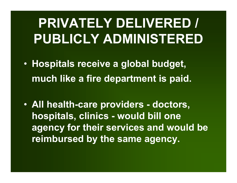- **Hospitals receive a global budget, much like a fire department is paid.**
- **All health-care providers - doctors, hospitals, clinics - would bill one agency for their services and would be reimbursed by the same agency.**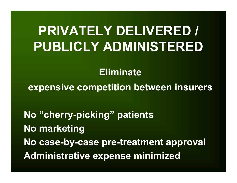#### **Eliminate**

**expensive competition between insurers**

**No "cherry-picking" patients No marketing No case-by-case pre-treatment approval Administrative expense minimized**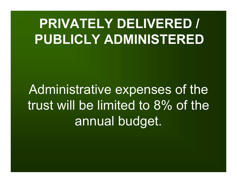Administrative expenses of the trust will be limited to 8% of the annual budget.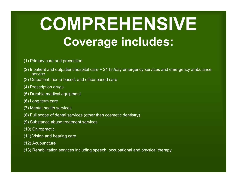## **COMPREHENSIVE Coverage includes:**

- (1) Primary care and prevention
- (2) Inpatient and outpatient hospital care + 24 hr./day emergency services and emergency ambulance service
- (3) Outpatient, home-based, and office-based care
- (4) Prescription drugs
- (5) Durable medical equipment
- (6) Long term care
- (7) Mental health services
- (8) Full scope of dental services (other than cosmetic dentistry)
- (9) Substance abuse treatment services
- (10) Chiropractic
- (11) Vision and hearing care
- (12) Acupuncture
- (13) Rehabilitation services including speech, occupational and physical therapy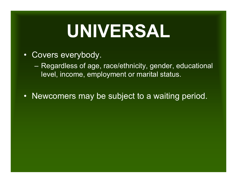# **UNIVERSAL**

• Covers everybody.

– Regardless of age, race/ethnicity, gender, educational level, income, employment or marital status.

• Newcomers may be subject to a waiting period.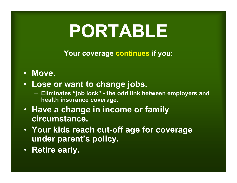# **PORTABLE**

**Your coverage continues if you:** 

- **Move.**
- **Lose or want to change jobs.**
	- **Eliminates "job lock" - the odd link between employers and health insurance coverage.**
- **Have a change in income or family circumstance.**
- **Your kids reach cut-off age for coverage under parent's policy.**
- **Retire early.**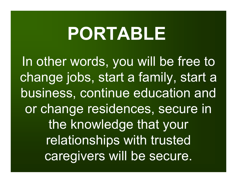# **PORTABLE**

In other words, you will be free to change jobs, start a family, start a business, continue education and or change residences, secure in the knowledge that your relationships with trusted caregivers will be secure.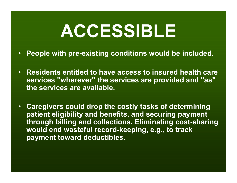# **ACCESSIBLE**

- **People with pre-existing conditions would be included.**
- **Residents entitled to have access to insured health care services "wherever" the services are provided and "as" the services are available.**
- **Caregivers could drop the costly tasks of determining patient eligibility and benefits, and securing payment through billing and collections. Eliminating cost-sharing would end wasteful record-keeping, e.g., to track payment toward deductibles.**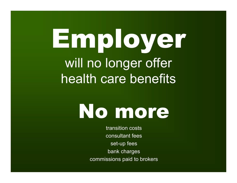# Employer will no longer offer health care benefits



transition costs consultant fees set-up fees bank charges commissions paid to brokers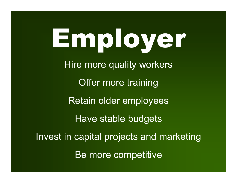Employer Hire more quality workers Offer more training Retain older employees Have stable budgets Invest in capital projects and marketing Be more competitive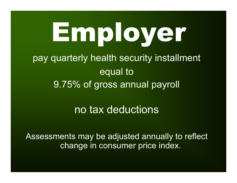# Employer

pay quarterly health security installment equal to 9.75% of gross annual payroll

#### no tax deductions

Assessments may be adjusted annually to reflect change in consumer price index.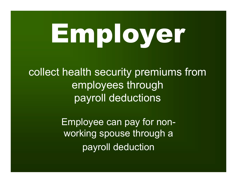# Employer

collect health security premiums from employees through payroll deductions

> Employee can pay for nonworking spouse through a payroll deduction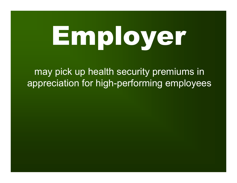# Employer

may pick up health security premiums in appreciation for high-performing employees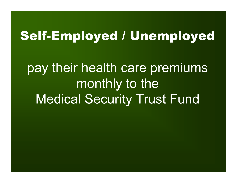### Self-Employed / Unemployed

pay their health care premiums monthly to the Medical Security Trust Fund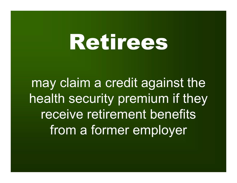# Retirees

may claim a credit against the health security premium if they receive retirement benefits from a former employer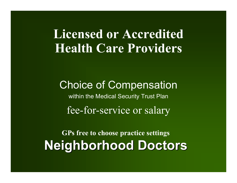#### **Licensed or Accredited Health Care Providers**

Choice of Compensation within the Medical Security Trust Plan fee-for-service or salary

**GPs free to choose practice settings Neighborhood Doctors Neighborhood Doctors**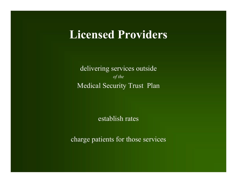#### **Licensed Providers**

delivering services outside *of the*  Medical Security Trust Plan

establish rates

charge patients for those services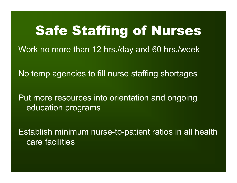### Safe Staffing of Nurses

Work no more than 12 hrs./day and 60 hrs./week

No temp agencies to fill nurse staffing shortages

Put more resources into orientation and ongoing education programs

Establish minimum nurse-to-patient ratios in all health care facilities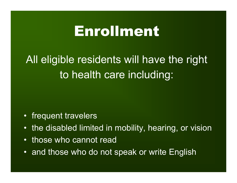## Enrollment

All eligible residents will have the right to health care including:

- frequent travelers
- •the disabled limited in mobility, hearing, or vision
- •those who cannot read
- and those who do not speak or write English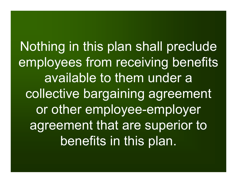Nothing in this plan shall preclude employees from receiving benefits available to them under a collective bargaining agreement or other employee-employer agreement that are superior to benefits in this plan.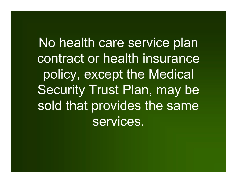No health care service plan contract or health insurance policy, except the Medical Security Trust Plan, may be sold that provides the same services.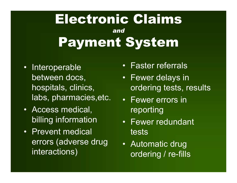### Electronic Claims *and* Payment System

- Interoperable between docs, hospitals, clinics, labs, pharmacies,etc.
- Access medical, billing information
- Prevent medical errors (adverse drug interactions)
- •Faster referrals
- Fewer delays in ordering tests, results
- Fewer errors in reporting
- Fewer redundant tests
- Automatic drug ordering / re-fills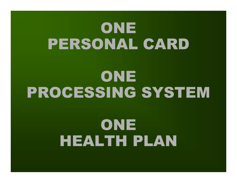# ONE PERSONAL CARD

# ONE PROCESSING SYSTEM

# ONE HEALTH PLAN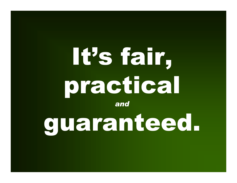# It's fair, practical *and*

guaranteed.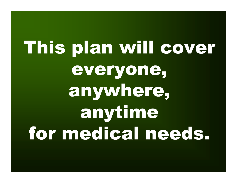This plan will cover everyone, anywhere, anytime for medical needs.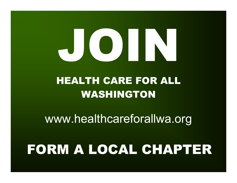# 

### HEALTH CARE FOR ALLWASHINGTON

www.healthcareforallwa.org

# FORM A LOCAL CHAPTER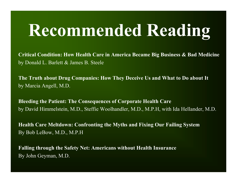# **Recommended Reading**

**Critical Condition: How Health Care in America Became Big Business & Bad Medicine** by Donald L. Barlett & James B. Steele

**The Truth about Drug Companies: How They Deceive Us and What to Do about It** by Marcia Angell, M.D.

**Bleeding the Patient: The Consequences of Corporate Health Care** by David Himmelstein, M.D., Steffie Woolhandler, M.D., M.P.H, with Ida Hellander, M.D.

**Health Care Meltdown: Confronting the Myths and Fixing Our Failing System** By Bob LeBow, M.D., M.P.H

**Falling through the Safety Net: Americans without Health Insurance** By John Geyman, M.D.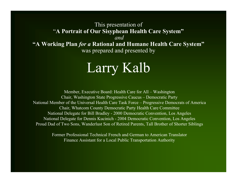#### This presentation of "**A Portrait of Our Sisyphean Health Care System"** *and* **"A Working Plan** *for a* **Rational and Humane Health Care System"** was prepared and presented by

## Larry Kalb

Member, Executive Board: Health Care for All – Washington Chair, Washington State Progressive Caucus – Democratic Party National Member of the Universal Health Care Task Force – Progressive Democrats of America Chair, Whatcom County Democratic Party Health Care Committee National Delegate for Bill Bradley - 2000 Democratic Convention, Los Angeles National Delegate for Dennis Kucinich - 2004 Democratic Convention, Los Angeles Proud Dad of Two Sons, Wanderlust Son of Retired Parents, Tall Brother of Shorter Siblings

> Former Professional Technical French and German to American TranslatorFinance Assistant for a Local Public Transportation Authority